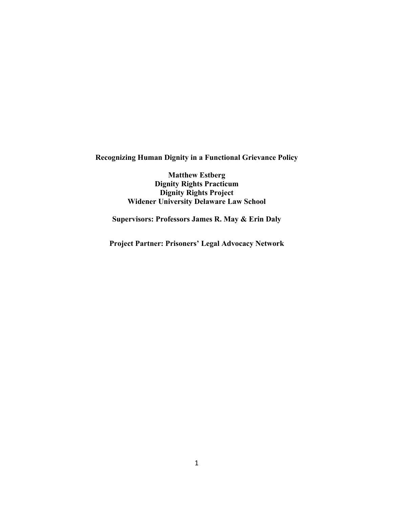**Recognizing Human Dignity in a Functional Grievance Policy**

**Matthew Estberg Dignity Rights Practicum Dignity Rights Project Widener University Delaware Law School**

**Supervisors: Professors James R. May & Erin Daly**

**Project Partner: Prisoners' Legal Advocacy Network**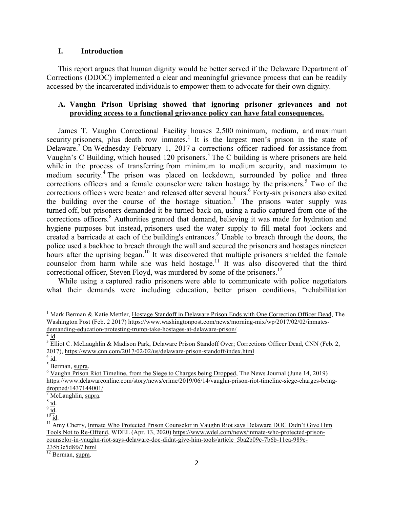#### **I. Introduction**

This report argues that human dignity would be better served if the Delaware Department of Corrections (DDOC) implemented a clear and meaningful grievance process that can be readily accessed by the incarcerated individuals to empower them to advocate for their own dignity.

### **A. Vaughn Prison Uprising showed that ignoring prisoner grievances and not providing access to a functional grievance policy can have fatal consequences.**

James T. Vaughn Correctional Facility houses 2,500 minimum, medium, and maximum security prisoners, plus death row inmates.<sup>1</sup> It is the largest men's prison in the state of Delaware.<sup>2</sup> On Wednesday February 1, 2017 a corrections officer radioed for assistance from Vaughn's C Building, which housed 120 prisoners.<sup>3</sup> The C building is where prisoners are held while in the process of transferring from minimum to medium security, and maximum to medium security.<sup>4</sup> The prison was placed on lockdown, surrounded by police and three corrections officers and a female counselor were taken hostage by the prisoners.<sup>5</sup> Two of the corrections officers were beaten and released after several hours.<sup>6</sup> Forty-six prisoners also exited the building over the course of the hostage situation.<sup>7</sup> The prisons water supply was turned off, but prisoners demanded it be turned back on, using a radio captured from one of the corrections officers.<sup>8</sup> Authorities granted that demand, believing it was made for hydration and hygiene purposes but instead, prisoners used the water supply to fill metal foot lockers and created a barricade at each of the building's entrances.<sup>9</sup> Unable to breach through the doors, the police used a backhoe to breach through the wall and secured the prisoners and hostages nineteen hours after the uprising began.<sup>10</sup> It was discovered that multiple prisoners shielded the female counselor from harm while she was held hostage.<sup>11</sup> It was also discovered that the third correctional officer, Steven Floyd, was murdered by some of the prisoners.<sup>12</sup>

While using a captured radio prisoners were able to communicate with police negotiators what their demands were including education, better prison conditions, "rehabilitation

<sup>&</sup>lt;sup>1</sup> Mark Berman & Katie Mettler, Hostage Standoff in Delaware Prison Ends with One Correction Officer Dead, The Washington Post (Feb. 2 2017) https://www.washingtonpost.com/news/morning-mix/wp/2017/02/02/inmatesdemanding-education-protesting-trump-take-hostages-at-delaware-prison/<br>  $\frac{2}{3}$  id.<br>  $\frac{3}{3}$  Elliot C. McLaughlin & Madison Park, Delaware Prison Standoff Over; Corrections Officer Dead, CNN (Feb. 2,

<sup>2017),</sup> https://www.cnn.com/2017/02/02/us/delaware-prison-standoff/index.html<br>  $\frac{4}{\text{5}}$  id.<br>
6 Berman, supra.<br>
6 Vaughn Prison Riot Timeline, from the Siege to Charges being Dropped, The News Journal (June 14, 2019)

https://www.delawareonline.com/story/news/crime/2019/06/14/vaughn-prison-riot-timeline-siege-charges-beingdropped/1437144001/<br>
<sup>7</sup> McLaughlin, supra.<br>
<sup>8</sup> id.<br>
<sup>10</sup> id.<br>
<sup>11</sup> Amy Cherry, Inmate Who Protected Prison Counselor in Vaughn Riot says Delaware DOC Didn't Give Him

Tools Not to Re-Offend, WDEL (Apr. 13, 2020) https://www.wdel.com/news/inmate-who-protected-prisoncounselor-in-vaughn-riot-says-delaware-doc-didnt-give-him-tools/article\_5ba2b09c-7b6b-11ea-989c-235b3e5d8fa7.html

 $12$  Berman, supra.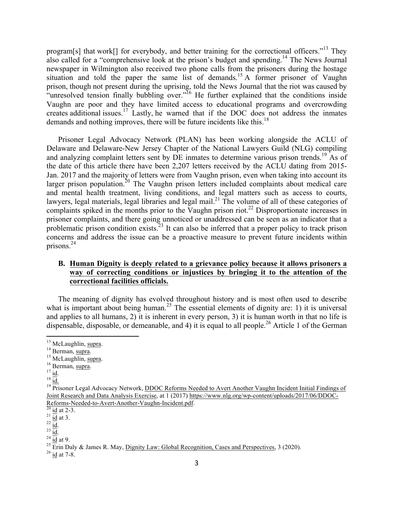program[s] that work[] for everybody, and better training for the correctional officers."<sup>13</sup> They also called for a "comprehensive look at the prison's budget and spending.<sup>14</sup> The News Journal newspaper in Wilmington also received two phone calls from the prisoners during the hostage situation and told the paper the same list of demands.<sup>15</sup> A former prisoner of Vaughn prison, though not present during the uprising, told the News Journal that the riot was caused by "unresolved tension finally bubbling over."<sup>16</sup> He further explained that the conditions inside Vaughn are poor and they have limited access to educational programs and overcrowding creates additional issues.<sup>17</sup> Lastly, he warned that if the DOC does not address the inmates demands and nothing improves, there will be future incidents like this.<sup>18</sup>

Prisoner Legal Advocacy Network (PLAN) has been working alongside the ACLU of Delaware and Delaware-New Jersey Chapter of the National Lawyers Guild (NLG) compiling and analyzing complaint letters sent by DE inmates to determine various prison trends.<sup>19</sup> As of the date of this article there have been 2,207 letters received by the ACLU dating from 2015- Jan. 2017 and the majority of letters were from Vaughn prison, even when taking into account its larger prison population.<sup>20</sup> The Vaughn prison letters included complaints about medical care and mental health treatment, living conditions, and legal matters such as access to courts, lawyers, legal materials, legal libraries and legal mail.<sup>21</sup> The volume of all of these categories of complaints spiked in the months prior to the Vaughn prison riot.<sup>22</sup> Disproportionate increases in prisoner complaints, and there going unnoticed or unaddressed can be seen as an indicator that a problematic prison condition exists.<sup>23</sup> It can also be inferred that a proper policy to track prison concerns and address the issue can be a proactive measure to prevent future incidents within prisons.<sup>24</sup>

## **B. Human Dignity is deeply related to a grievance policy because it allows prisoners a way of correcting conditions or injustices by bringing it to the attention of the correctional facilities officials.**

The meaning of dignity has evolved throughout history and is most often used to describe what is important about being human.<sup>25</sup> The essential elements of dignity are: 1) it is universal and applies to all humans, 2) it is inherent in every person, 3) it is human worth in that no life is dispensable, disposable, or demeanable, and 4) it is equal to all people.<sup>26</sup> Article 1 of the German

<sup>&</sup>lt;sup>13</sup> McLaughlin, <u>supra</u>.<br>
<sup>14</sup> Berman, <u>supra</u>.<br>
<sup>15</sup> McLaughlin, supra.<br>
<sup>15</sup> Berman, supra.<br>
<sup>17</sup> id.<br>
<sup>18</sup> id.<br>
<sup>18</sup> Prisoner Legal Advocacy Network, DDOC Reforms Needed to Avert Another Vaughn Incident Initial Finding Joint Research and Data Analysis Exercise, at 1 (2017) https://www.nlg.org/wp-content/uploads/2017/06/DDOC-Reforms-Needed-to-Avert-Another-Vaughn-Incident.pdf.<br>
<sup>20</sup> id at 2-3.<br>
<sup>21</sup> id at 3.<br>
<sup>22</sup> id at 3.<br>
<sup>23</sup> id.<br>
<sup>24</sup> id at 9.<br>
<sup>25</sup> Erin Daly & James R. May, <u>Dignity Law: Global Recognition, Cases and Perspectives,</u> 3 (20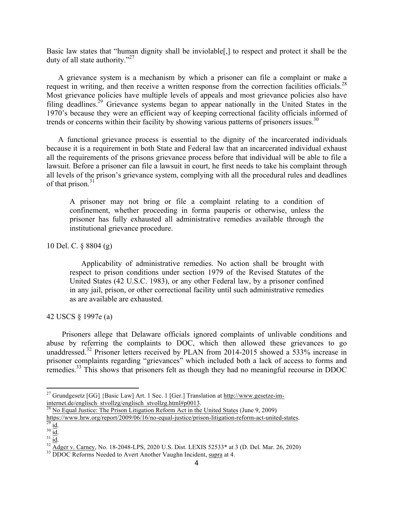Basic law states that "human dignity shall be inviolable[,] to respect and protect it shall be the duty of all state authority."27

A grievance system is a mechanism by which a prisoner can file a complaint or make a request in writing, and then receive a written response from the correction facilities officials.<sup>28</sup> Most grievance policies have multiple levels of appeals and most grievance policies also have filing deadlines.<sup>29</sup> Grievance systems began to appear nationally in the United States in the 1970's because they were an efficient way of keeping correctional facility officials informed of trends or concerns within their facility by showing various patterns of prisoners issues.<sup>30</sup>

A functional grievance process is essential to the dignity of the incarcerated individuals because it is a requirement in both State and Federal law that an incarcerated individual exhaust all the requirements of the prisons grievance process before that individual will be able to file a lawsuit. Before a prisoner can file a lawsuit in court, he first needs to take his complaint through all levels of the prison's grievance system, complying with all the procedural rules and deadlines of that prison. $31$ 

A prisoner may not bring or file a complaint relating to a condition of confinement, whether proceeding in forma pauperis or otherwise, unless the prisoner has fully exhausted all administrative remedies available through the institutional grievance procedure.

10 Del. C. § 8804 (g)

Applicability of administrative remedies. No action shall be brought with respect to prison conditions under section 1979 of the Revised Statutes of the United States (42 U.S.C. 1983), or any other Federal law, by a prisoner confined in any jail, prison, or other correctional facility until such administrative remedies as are available are exhausted.

42 USCS § 1997e (a)

 Prisoners allege that Delaware officials ignored complaints of unlivable conditions and abuse by referring the complaints to DOC, which then allowed these grievances to go unaddressed.<sup>32</sup> Prisoner letters received by PLAN from 2014-2015 showed a 533% increase in prisoner complaints regarding "grievances" which included both a lack of access to forms and remedies.<sup>33</sup> This shows that prisoners felt as though they had no meaningful recourse in DDOC

<sup>&</sup>lt;sup>27</sup> Grundgesetz [GG] {Basic Law] Art. 1 Sec. 1 [Ger.] Translation at http://www.gesetze-iminternet.de/englisch\_stvollzg/englisch\_stvollzg.html#p0013.<br><sup>28</sup> No Equal Justice: The Prison Litigation Reform Act in the United States (June 9, 2009)<br>https://www.hrw.org/report/2009/06/16/no-equal-justice/prison-litigati

<sup>&</sup>lt;sup>29</sup> id.<br><sup>31</sup> id.<br><sup>31</sup> id.<br><sup>32</sup> Adger v. Carney, No. 18-2048-LPS, 2020 U.S. Dist. LEXIS 52533\* at 3 (D. Del. Mar. 26, 2020)<br><sup>33</sup> DDOC Reforms Needed to Avert Another Vaughn Incident, supra at 4.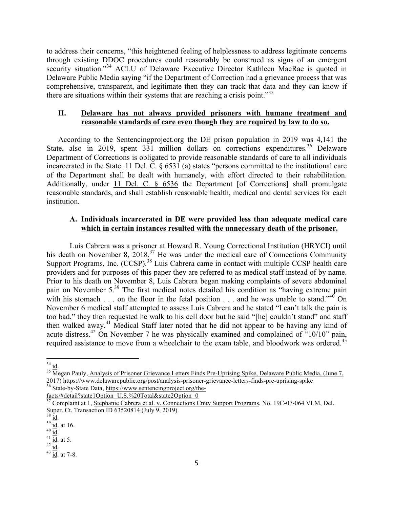to address their concerns, "this heightened feeling of helplessness to address legitimate concerns through existing DDOC procedures could reasonably be construed as signs of an emergent security situation."<sup>34</sup> ACLU of Delaware Executive Director Kathleen MacRae is quoted in Delaware Public Media saying "if the Department of Correction had a grievance process that was comprehensive, transparent, and legitimate then they can track that data and they can know if there are situations within their systems that are reaching a crisis point.<sup>35</sup>

# **II. Delaware has not always provided prisoners with humane treatment and reasonable standards of care even though they are required by law to do so.**

According to the Sentencingproject.org the DE prison population in 2019 was 4,141 the State, also in 2019, spent 331 million dollars on corrections expenditures.<sup>36</sup> Delaware Department of Corrections is obligated to provide reasonable standards of care to all individuals incarcerated in the State. 11 Del. C. § 6531 (a) states "persons committed to the institutional care of the Department shall be dealt with humanely, with effort directed to their rehabilitation. Additionally, under 11 Del. C. § 6536 the Department [of Corrections] shall promulgate reasonable standards, and shall establish reasonable health, medical and dental services for each institution.

# **A. Individuals incarcerated in DE were provided less than adequate medical care which in certain instances resulted with the unnecessary death of the prisoner.**

Luis Cabrera was a prisoner at Howard R. Young Correctional Institution (HRYCI) until his death on November 8,  $2018<sup>37</sup>$  He was under the medical care of Connections Community Support Programs, Inc.  $(\angle \angle$ CSP).<sup>38</sup> Luis Cabrera came in contact with multiple CCSP health care providers and for purposes of this paper they are referred to as medical staff instead of by name. Prior to his death on November 8, Luis Cabrera began making complaints of severe abdominal pain on November 5.<sup>39</sup> The first medical notes detailed his condition as "having extreme pain with his stomach . . . on the floor in the fetal position . . . and he was unable to stand."<sup>40</sup> On November 6 medical staff attempted to assess Luis Cabrera and he stated "I can't talk the pain is too bad," they then requested he walk to his cell door but he said "[he] couldn't stand" and staff then walked away.<sup>41</sup> Medical Staff later noted that he did not appear to be having any kind of acute distress.<sup>42</sup> On November 7 he was physically examined and complained of "10/10" pain, required assistance to move from a wheelchair to the exam table, and bloodwork was ordered.<sup>43</sup>

facts/#detail?state1Option=U.S.%20Total&state2Option=0

 $\frac{34}{35}$  id.<br><sup>35</sup> Megan Pauly, Analysis of Prisoner Grievance Letters Finds Pre-Uprising Spike, Delaware Public Media, (June 7, 2017) https://www.delawarepublic.org/post/analysis-prisoner-grievance-letters-finds-pre-uprising-spike 36 State-by-State Data, https://www.sentencingproject.org/the-

<sup>37</sup> Complaint at 1, Stephanie Cabrera et al. v. Connections Cmty Support Programs, No. 19C-07-064 VLM, Del. Super. Ct. Transaction ID 63520814 (July 9, 2019)

 $\frac{38}{39}$   $\frac{id}{id}$  at 16.<br>  $\frac{40}{39}$   $\frac{id}{id}$  at 5.<br>  $\frac{42}{3}$   $\frac{id}{id}$  at 7-8.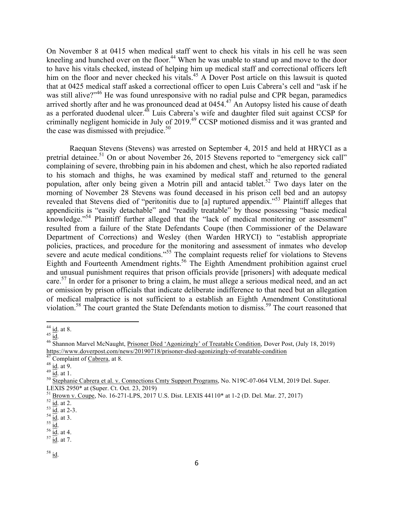On November 8 at 0415 when medical staff went to check his vitals in his cell he was seen kneeling and hunched over on the floor.<sup>44</sup> When he was unable to stand up and move to the door to have his vitals checked, instead of helping him up medical staff and correctional officers left him on the floor and never checked his vitals.<sup>45</sup> A Dover Post article on this lawsuit is quoted that at 0425 medical staff asked a correctional officer to open Luis Cabrera's cell and "ask if he was still alive?"<sup>46</sup> He was found unresponsive with no radial pulse and CPR began, paramedics arrived shortly after and he was pronounced dead at  $0454<sup>47</sup>$  An Autopsy listed his cause of death as a perforated duodenal ulcer.<sup>48</sup> Luis Cabrera's wife and daughter filed suit against CCSP for criminally negligent homicide in July of 2019.<sup>49</sup> CCSP motioned dismiss and it was granted and the case was dismissed with prejudice. $50$ 

Raequan Stevens (Stevens) was arrested on September 4, 2015 and held at HRYCI as a pretrial detainee.<sup>51</sup> On or about November 26, 2015 Stevens reported to "emergency sick call" complaining of severe, throbbing pain in his abdomen and chest, which he also reported radiated to his stomach and thighs, he was examined by medical staff and returned to the general population, after only being given a Motrin pill and antacid tablet.<sup>52</sup> Two days later on the morning of November 28 Stevens was found deceased in his prison cell bed and an autopsy revealed that Stevens died of "peritonitis due to [a] ruptured appendix."<sup>53</sup> Plaintiff alleges that appendicitis is "easily detachable" and "readily treatable" by those possessing "basic medical knowledge."<sup>54</sup> Plaintiff further alleged that the "lack of medical monitoring or assessment" resulted from a failure of the State Defendants Coupe (then Commissioner of the Delaware Department of Corrections) and Wesley (then Warden HRYCI) to "establish appropriate policies, practices, and procedure for the monitoring and assessment of inmates who develop severe and acute medical conditions."<sup>55</sup> The complaint requests relief for violations to Stevens Eighth and Fourteenth Amendment rights.<sup>56</sup> The Eighth Amendment prohibition against cruel and unusual punishment requires that prison officials provide [prisoners] with adequate medical care.<sup>57</sup> In order for a prisoner to bring a claim, he must allege a serious medical need, and an act or omission by prison officials that indicate deliberate indifference to that need but an allegation of medical malpractice is not sufficient to a establish an Eighth Amendment Constitutional violation.<sup>58</sup> The court granted the State Defendants motion to dismiss.<sup>59</sup> The court reasoned that

<sup>&</sup>lt;sup>44</sup> id. at 8.<br><sup>45</sup> id.<br><sup>46</sup> Shannon Marvel McNaught, Prisoner D<u>ied 'Agonizingly' of Treatable Condition</u>, Dover Post, (July 18, 2019) https://www.doverpost.com/news/20190718/prisoner-died-agonizingly-of-treatable-condition<br>
<sup>47</sup> Complaint of <u>Cabrera</u>, at 8.<br>
<sup>48</sup> id. at 9.<br>
<sup>49</sup> id. at 1.<br>
<sup>50</sup> Stephanie Cabrera et al. v. Connections Cmty Support Progra

LEXIS 2950\* at (Super. Ct. Oct. 23, 2019)

<sup>&</sup>lt;sup>51</sup> Brown v. Coupe, No. 16-271-LPS, 2017 U.S. Dist. LEXIS 44110\* at 1-2 (D. Del. Mar. 27, 2017) <sup>52</sup> id. at 2.<br><sup>53</sup> id. at 2.<sup>3</sup><br><sup>54</sup> id. at 2-3. <sup>54</sup> id. at 3. <sup>55</sup> id. at 4. <sup>56</sup> id. at 4. <sup>57</sup> id. at 7.

 $^{58}$  id.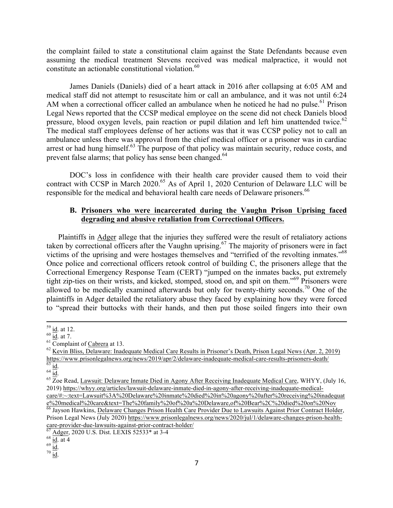the complaint failed to state a constitutional claim against the State Defendants because even assuming the medical treatment Stevens received was medical malpractice, it would not constitute an actionable constitutional violation.<sup>60</sup>

James Daniels (Daniels) died of a heart attack in 2016 after collapsing at 6:05 AM and medical staff did not attempt to resuscitate him or call an ambulance, and it was not until 6:24 AM when a correctional officer called an ambulance when he noticed he had no pulse.<sup>61</sup> Prison Legal News reported that the CCSP medical employee on the scene did not check Daniels blood pressure, blood oxygen levels, pain reaction or pupil dilation and left him unattended twice.<sup>62</sup> The medical staff employees defense of her actions was that it was CCSP policy not to call an ambulance unless there was approval from the chief medical officer or a prisoner was in cardiac arrest or had hung himself.<sup>63</sup> The purpose of that policy was maintain security, reduce costs, and prevent false alarms; that policy has sense been changed.<sup>64</sup>

DOC's loss in confidence with their health care provider caused them to void their contract with CCSP in March 2020.<sup>65</sup> As of April 1, 2020 Centurion of Delaware LLC will be responsible for the medical and behavioral health care needs of Delaware prisoners.<sup>66</sup>

#### **B. Prisoners who were incarcerated during the Vaughn Prison Uprising faced degrading and abusive retaliation from Correctional Officers.**

Plaintiffs in Adger allege that the injuries they suffered were the result of retaliatory actions taken by correctional officers after the Vaughn uprising.<sup>67</sup> The majority of prisoners were in fact victims of the uprising and were hostages themselves and "terrified of the revolting inmates."<sup>68</sup> Once police and correctional officers retook control of building C, the prisoners allege that the Correctional Emergency Response Team (CERT) "jumped on the inmates backs, put extremely tight zip-ties on their wrists, and kicked, stomped, stood on, and spit on them."<sup>69</sup> Prisoners were allowed to be medically examined afterwards but only for twenty-thirty seconds.<sup>70</sup> One of the plaintiffs in Adger detailed the retaliatory abuse they faced by explaining how they were forced to "spread their buttocks with their hands, and then put those soiled fingers into their own

<sup>&</sup>lt;sup>59</sup> id. at 12.<br><sup>60</sup> id. at 7.<br><sup>61</sup> Complaint of <u>Cabrera</u> at 13.<br><sup>62</sup> Kevin Bliss, Delaware: Inadequate Medical C<u>are Results in Prisoner's Death, Prison Legal News (Apr. 2, 2019)</u> https://www.prisonlegalnews.org/news/2019/apr/2/delaware-inadequate-medical-care-results-prisoners-death/<br>  $\frac{63}{63}$  id.<br>  $\frac{64}{10}$ .<br>  $\frac{64}{100}$ .<br>  $\frac{65}{100}$  Read, Lawsuit: Delaware Inmate Died in Agony After Rece

<sup>2019)</sup> https://whyy.org/articles/lawsuit-delaware-inmate-died-in-agony-after-receiving-inadequate-medicalcare/#:~:text=Lawsuit%3A%20Delaware%20inmate%20died%20in%20agony%20after%20receiving%20inadequat

e%20medical%20care&text=The%20family%20of%20a%20Delaware,of%20Bear%2C%20died%20on%20Nov <sup>66</sup> Jayson Hawkins, Delaware Changes Prison Health Care Provider Due to Lawsuits Against Prior Contract Holder, Prison Legal News (July 2020) https://www.prisonlegalnews.org/news/2020/jul/1/delaware-changes-prison-healthcare-provider-due-lawsuits-against-prior-contract-holder/<br>  $^{67}$  Adger, 2020 U.S. Dist. LEXIS 52533\* at 3-4<br>  $^{68}$   $\frac{\text{id}}{\text{id}}$  at 4<br>  $^{70}$   $\frac{\text{id}}{\text{id}}$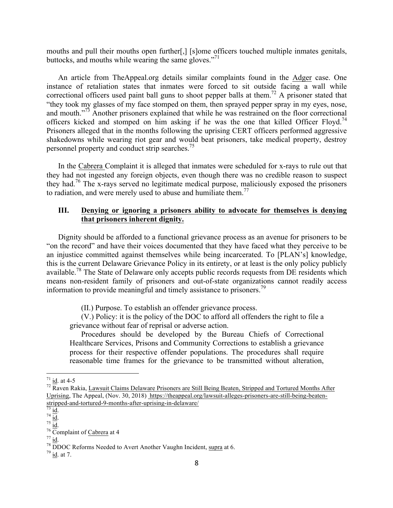mouths and pull their mouths open further[,] [s]ome officers touched multiple inmates genitals, buttocks, and mouths while wearing the same gloves."<sup>71</sup>

An article from TheAppeal.org details similar complaints found in the Adger case. One instance of retaliation states that inmates were forced to sit outside facing a wall while correctional officers used paint ball guns to shoot pepper balls at them.<sup>72</sup> A prisoner stated that "they took my glasses of my face stomped on them, then sprayed pepper spray in my eyes, nose, and mouth.<sup>"73</sup> Another prisoners explained that while he was restrained on the floor correctional officers kicked and stomped on him asking if he was the one that killed Officer Floyd.<sup>74</sup> Prisoners alleged that in the months following the uprising CERT officers performed aggressive shakedowns while wearing riot gear and would beat prisoners, take medical property, destroy personnel property and conduct strip searches.75

In the Cabrera Complaint it is alleged that inmates were scheduled for x-rays to rule out that they had not ingested any foreign objects, even though there was no credible reason to suspect they had.<sup>76</sup> The x-rays served no legitimate medical purpose, maliciously exposed the prisoners to radiation, and were merely used to abuse and humiliate them.<sup>77</sup>

### **III. Denying or ignoring a prisoners ability to advocate for themselves is denying that prisoners inherent dignity.**

Dignity should be afforded to a functional grievance process as an avenue for prisoners to be "on the record" and have their voices documented that they have faced what they perceive to be an injustice committed against themselves while being incarcerated. To [PLAN's] knowledge, this is the current Delaware Grievance Policy in its entirety, or at least is the only policy publicly available.<sup>78</sup> The State of Delaware only accepts public records requests from DE residents which means non-resident family of prisoners and out-of-state organizations cannot readily access information to provide meaningful and timely assistance to prisoners.<sup>79</sup>

(II.) Purpose. To establish an offender grievance process.

(V.) Policy: it is the policy of the DOC to afford all offenders the right to file a grievance without fear of reprisal or adverse action.

Procedures should be developed by the Bureau Chiefs of Correctional Healthcare Services, Prisons and Community Corrections to establish a grievance process for their respective offender populations. The procedures shall require reasonable time frames for the grievance to be transmitted without alteration,

<sup>&</sup>lt;sup>71</sup> id. at 4-5<br><sup>72</sup> Raven Rakia, Lawsuit Claims Delaware Prisoners are Still Being Beaten, Stripped and Tortured Months After Uprising, The Appeal, (Nov. 30, 2018) https://theappeal.org/lawsuit-alleges-prisoners-are-still-being-beatenstripped-and-tortured-9-months-after-uprising-in-delaware/<br>  $\frac{73}{73}$  id.<br>  $\frac{74}{10}$ .<br>  $\frac{75}{10}$ .<br>  $\frac{76}{10}$  Complaint of Cabrera at 4<br>  $\frac{77}{10}$  id.  $\frac{1}{10}$ .<br>  $\frac{78}{10}$  DDOC Reforms Needed to Avert Another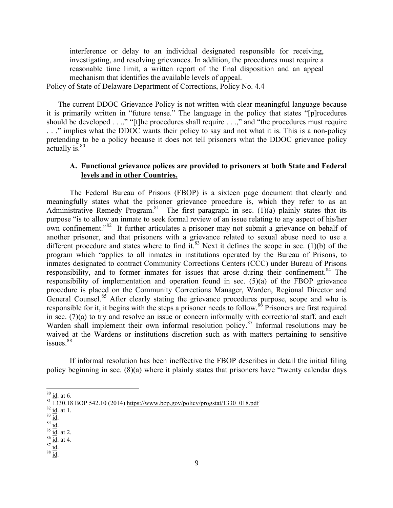interference or delay to an individual designated responsible for receiving, investigating, and resolving grievances. In addition, the procedures must require a reasonable time limit, a written report of the final disposition and an appeal mechanism that identifies the available levels of appeal.

Policy of State of Delaware Department of Corrections, Policy No. 4.4

The current DDOC Grievance Policy is not written with clear meaningful language because it is primarily written in "future tense." The language in the policy that states "[p]rocedures should be developed . . .," "[t]he procedures shall require . . .," and "the procedures must require . . ." implies what the DDOC wants their policy to say and not what it is. This is a non-policy pretending to be a policy because it does not tell prisoners what the DDOC grievance policy actually is.<sup>80</sup>

# **A. Functional grievance polices are provided to prisoners at both State and Federal levels and in other Countries.**

The Federal Bureau of Prisons (FBOP) is a sixteen page document that clearly and meaningfully states what the prisoner grievance procedure is, which they refer to as an Administrative Remedy Program.<sup>81</sup> The first paragraph in sec. (1)(a) plainly states that its purpose "is to allow an inmate to seek formal review of an issue relating to any aspect of his/her own confinement."<sup>82</sup> It further articulates a prisoner may not submit a grievance on behalf of another prisoner, and that prisoners with a grievance related to sexual abuse need to use a different procedure and states where to find it.<sup>83</sup> Next it defines the scope in sec. (1)(b) of the program which "applies to all inmates in institutions operated by the Bureau of Prisons, to inmates designated to contract Community Corrections Centers (CCC) under Bureau of Prisons responsibility, and to former inmates for issues that arose during their confinement.<sup>84</sup> The responsibility of implementation and operation found in sec. (5)(a) of the FBOP grievance procedure is placed on the Community Corrections Manager, Warden, Regional Director and General Counsel.<sup>85</sup> After clearly stating the grievance procedures purpose, scope and who is responsible for it, it begins with the steps a prisoner needs to follow.<sup>86</sup> Prisoners are first required in sec. (7)(a) to try and resolve an issue or concern informally with correctional staff, and each Warden shall implement their own informal resolution policy.<sup>87</sup> Informal resolutions may be waived at the Wardens or institutions discretion such as with matters pertaining to sensitive  $issues.$ <sup>88</sup>

If informal resolution has been ineffective the FBOP describes in detail the initial filing policy beginning in sec. (8)(a) where it plainly states that prisoners have "twenty calendar days

 $\frac{80}{1330.18}$  id. at 6.<br>  $\frac{81}{1330.18}$  BOP 542.10 (2014) https://www.bop.gov/policy/progstat/1330\_018.pdf<br>  $\frac{82}{16}$  id. at 1.<br>  $\frac{83}{16}$  id. at 2.<br>  $\frac{85}{16}$  id. at 4.<br>  $\frac{87}{16}$  id. 88 id.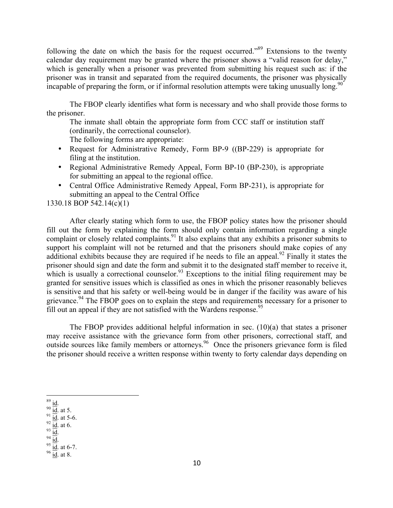following the date on which the basis for the request occurred."<sup>89</sup> Extensions to the twenty calendar day requirement may be granted where the prisoner shows a "valid reason for delay," which is generally when a prisoner was prevented from submitting his request such as: if the prisoner was in transit and separated from the required documents, the prisoner was physically incapable of preparing the form, or if informal resolution attempts were taking unusually long.<sup>90</sup>

The FBOP clearly identifies what form is necessary and who shall provide those forms to the prisoner.

The inmate shall obtain the appropriate form from CCC staff or institution staff (ordinarily, the correctional counselor). The following forms are appropriate:

- Request for Administrative Remedy, Form BP-9 ((BP-229) is appropriate for filing at the institution.
- Regional Administrative Remedy Appeal, Form BP-10 (BP-230), is appropriate for submitting an appeal to the regional office.
- Central Office Administrative Remedy Appeal, Form BP-231), is appropriate for submitting an appeal to the Central Office

1330.18 BOP 542.14(c)(1)

After clearly stating which form to use, the FBOP policy states how the prisoner should fill out the form by explaining the form should only contain information regarding a single complaint or closely related complaints.<sup>91</sup> It also explains that any exhibits a prisoner submits to support his complaint will not be returned and that the prisoners should make copies of any additional exhibits because they are required if he needs to file an appeal.<sup>92</sup> Finally it states the prisoner should sign and date the form and submit it to the designated staff member to receive it, which is usually a correctional counselor.<sup>93</sup> Exceptions to the initial filing requirement may be granted for sensitive issues which is classified as ones in which the prisoner reasonably believes is sensitive and that his safety or well-being would be in danger if the facility was aware of his grievance.<sup>94</sup> The FBOP goes on to explain the steps and requirements necessary for a prisoner to fill out an appeal if they are not satisfied with the Wardens response.<sup>95</sup>

The FBOP provides additional helpful information in sec. (10)(a) that states a prisoner may receive assistance with the grievance form from other prisoners, correctional staff, and outside sources like family members or attorneys.<sup>96</sup> Once the prisoners grievance form is filed the prisoner should receive a written response within twenty to forty calendar days depending on

- 
- 
- 

<sup>89 &</sup>lt;u>id.</u><br>
90 <u>id.</u> at 5.<br>
91 id. at 5-6.<br>
92 <u>id.</u> at 6.<br>
94 <u>id.</u><br>
95 <u>id.</u> at 6-7.<br>
96 <u>id.</u> at 8.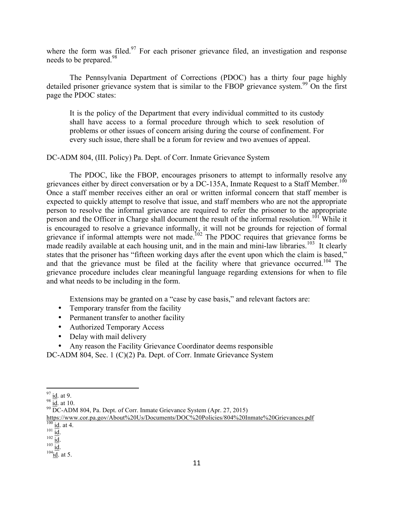where the form was filed. $97$  For each prisoner grievance filed, an investigation and response needs to be prepared.<sup>98</sup>

The Pennsylvania Department of Corrections (PDOC) has a thirty four page highly detailed prisoner grievance system that is similar to the FBOP grievance system.<sup>99</sup> On the first page the PDOC states:

It is the policy of the Department that every individual committed to its custody shall have access to a formal procedure through which to seek resolution of problems or other issues of concern arising during the course of confinement. For every such issue, there shall be a forum for review and two avenues of appeal.

DC-ADM 804, (III. Policy) Pa. Dept. of Corr. Inmate Grievance System

The PDOC, like the FBOP, encourages prisoners to attempt to informally resolve any grievances either by direct conversation or by a DC-135A, Inmate Request to a Staff Member.<sup>100</sup> Once a staff member receives either an oral or written informal concern that staff member is expected to quickly attempt to resolve that issue, and staff members who are not the appropriate person to resolve the informal grievance are required to refer the prisoner to the appropriate person and the Officer in Charge shall document the result of the informal resolution.<sup>101</sup> While it is encouraged to resolve a grievance informally, it will not be grounds for rejection of formal grievance if informal attempts were not made.<sup>102</sup> The PDOC requires that grievance forms be made readily available at each housing unit, and in the main and mini-law libraries.<sup>103</sup> It clearly states that the prisoner has "fifteen working days after the event upon which the claim is based," and that the grievance must be filed at the facility where that grievance occurred.<sup>104</sup> The grievance procedure includes clear meaningful language regarding extensions for when to file and what needs to be including in the form.

Extensions may be granted on a "case by case basis," and relevant factors are:

- Temporary transfer from the facility
- Permanent transfer to another facility
- Authorized Temporary Access
- Delay with mail delivery

• Any reason the Facility Grievance Coordinator deems responsible

DC-ADM 804, Sec. 1 (C)(2) Pa. Dept. of Corr. Inmate Grievance System

 $\frac{97}{98}$  id. at 9.<br><sup>98</sup> id. at 10.<br><sup>99</sup> DC-ADM 804, Pa. Dept. of Corr. Inmate Grievance System (Apr. 27, 2015)

https://www.cor.pa.gov/About%20Us/Documents/DOC%20Policies/804%20Inmate%20Grievances.pdf<br><sup>100</sup> id. at 4.

 $\frac{101}{102} \frac{\underline{\text{id}}}{\underline{\text{id}}}.$ <br>  $\frac{102}{104} \frac{\underline{\text{id}}}{\underline{\text{id}}}$  at 5.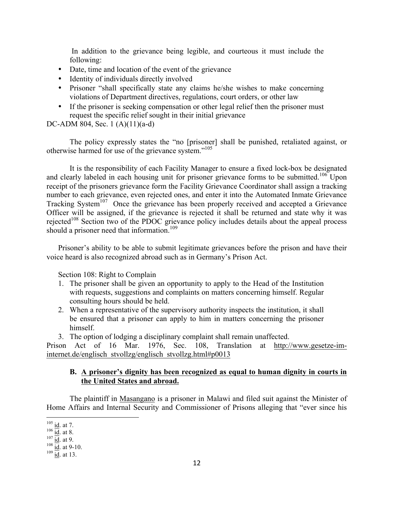In addition to the grievance being legible, and courteous it must include the following:

- Date, time and location of the event of the grievance
- Identity of individuals directly involved
- Prisoner "shall specifically state any claims he/she wishes to make concerning violations of Department directives, regulations, court orders, or other law
- If the prisoner is seeking compensation or other legal relief then the prisoner must request the specific relief sought in their initial grievance

DC-ADM 804, Sec. 1 (A)(11)(a-d)

The policy expressly states the "no [prisoner] shall be punished, retaliated against, or otherwise harmed for use of the grievance system."105

It is the responsibility of each Facility Manager to ensure a fixed lock-box be designated and clearly labeled in each housing unit for prisoner grievance forms to be submitted.<sup>106</sup> Upon receipt of the prisoners grievance form the Facility Grievance Coordinator shall assign a tracking number to each grievance, even rejected ones, and enter it into the Automated Inmate Grievance Tracking System<sup>107</sup> Once the grievance has been properly received and accepted a Grievance Officer will be assigned, if the grievance is rejected it shall be returned and state why it was rejected<sup>108</sup> Section two of the PDOC grievance policy includes details about the appeal process should a prisoner need that information.<sup>109</sup>

Prisoner's ability to be able to submit legitimate grievances before the prison and have their voice heard is also recognized abroad such as in Germany's Prison Act.

Section 108: Right to Complain

- 1. The prisoner shall be given an opportunity to apply to the Head of the Institution with requests, suggestions and complaints on matters concerning himself. Regular consulting hours should be held.
- 2. When a representative of the supervisory authority inspects the institution, it shall be ensured that a prisoner can apply to him in matters concerning the prisoner himself.
- 3. The option of lodging a disciplinary complaint shall remain unaffected.

Prison Act of 16 Mar. 1976, Sec. 108, Translation at http://www.gesetze-iminternet.de/englisch\_stvollzg/englisch\_stvollzg.html#p0013

### **B. A prisoner's dignity has been recognized as equal to human dignity in courts in the United States and abroad.**

The plaintiff in Masangano is a prisoner in Malawi and filed suit against the Minister of Home Affairs and Internal Security and Commissioner of Prisons alleging that "ever since his

 $\frac{105}{106}$  id. at 7.<br>  $\frac{107}{101}$  id. at 9.<br>  $\frac{108}{101}$  id. at 9-10.<br>  $\frac{109}{101}$  id. at 13.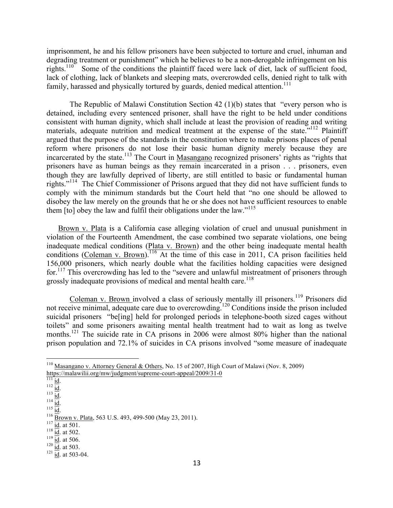imprisonment, he and his fellow prisoners have been subjected to torture and cruel, inhuman and degrading treatment or punishment" which he believes to be a non-derogable infringement on his rights.<sup>110</sup> Some of the conditions the plaintiff faced were lack of diet, lack of sufficient food, lack of clothing, lack of blankets and sleeping mats, overcrowded cells, denied right to talk with family, harassed and physically tortured by guards, denied medical attention.<sup>111</sup>

The Republic of Malawi Constitution Section 42 (1)(b) states that "every person who is detained, including every sentenced prisoner, shall have the right to be held under conditions consistent with human dignity, which shall include at least the provision of reading and writing materials, adequate nutrition and medical treatment at the expense of the state.<sup>7112</sup> Plaintiff argued that the purpose of the standards in the constitution where to make prisons places of penal reform where prisoners do not lose their basic human dignity merely because they are incarcerated by the state.<sup>113</sup> The Court in Masangano recognized prisoners' rights as "rights that prisoners have as human beings as they remain incarcerated in a prison . . . prisoners, even though they are lawfully deprived of liberty, are still entitled to basic or fundamental human rights."114 The Chief Commissioner of Prisons argued that they did not have sufficient funds to comply with the minimum standards but the Court held that "no one should be allowed to disobey the law merely on the grounds that he or she does not have sufficient resources to enable them [to] obey the law and fulfil their obligations under the law."<sup>115</sup>

Brown v. Plata is a California case alleging violation of cruel and unusual punishment in violation of the Fourteenth Amendment, the case combined two separate violations, one being inadequate medical conditions (Plata v. Brown) and the other being inadequate mental health conditions (Coleman v. Brown).<sup>116</sup> At the time of this case in 2011, CA prison facilities held 156,000 prisoners, which nearly double what the facilities holding capacities were designed for.<sup>117</sup> This overcrowding has led to the "severe and unlawful mistreatment of prisoners through grossly inadequate provisions of medical and mental health care.<sup>118</sup>

Coleman v. Brown involved a class of seriously mentally ill prisoners.<sup>119</sup> Prisoners did not receive minimal, adequate care due to overcrowding.<sup>120</sup> Conditions inside the prison included suicidal prisoners "be[ing] held for prolonged periods in telephone-booth sized cages without toilets" and some prisoners awaiting mental health treatment had to wait as long as twelve months.<sup>121</sup> The suicide rate in CA prisons in 2006 were almost 80% higher than the national prison population and 72.1% of suicides in CA prisons involved "some measure of inadequate

<sup>&</sup>lt;sup>110</sup> Masangano v. Attorney General & Others, No. 15 of 2007, High Court of Malawi (Nov. 8, 2009) https://malawilii.org/mw/judgment/supreme-court-appeal/2009/31-0 https://malawilii.org/mw/judgment/supreme-court-appeal/2009/31-0<br>
<sup>111</sup> id.<br>
<sup>112</sup> id.<br>
<sup>113</sup> id.<br>
<sup>113</sup> id.<br>
<sup>116</sup> Brown v. Plata, 563 U.S. 493, 499-500 (May 23, 2011).<br>
<sup>117</sup> id. at 501.<br>
<sup>118</sup> id. at 502.<br>
<sup>119</sup> id. at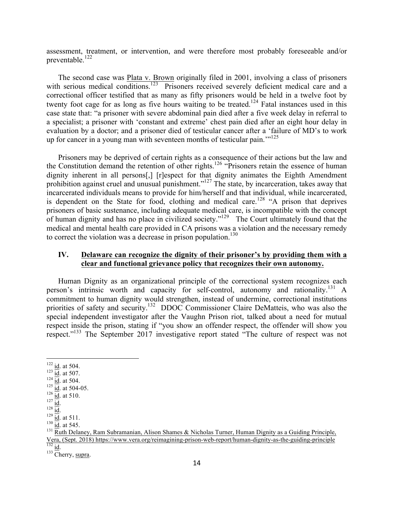assessment, treatment, or intervention, and were therefore most probably foreseeable and/or preventable.<sup>122</sup>

The second case was **Plata v. Brown** originally filed in 2001, involving a class of prisoners with serious medical conditions.<sup>123</sup> Prisoners received severely deficient medical care and a correctional officer testified that as many as fifty prisoners would be held in a twelve foot by twenty foot cage for as long as five hours waiting to be treated.<sup>124</sup> Fatal instances used in this case state that: "a prisoner with severe abdominal pain died after a five week delay in referral to a specialist; a prisoner with 'constant and extreme' chest pain died after an eight hour delay in evaluation by a doctor; and a prisoner died of testicular cancer after a 'failure of MD's to work up for cancer in a young man with seventeen months of testicular pain.<sup>''125</sup>

Prisoners may be deprived of certain rights as a consequence of their actions but the law and the Constitution demand the retention of other rights.<sup>126</sup> "Prisoners retain the essence of human dignity inherent in all persons[,] [r]espect for that dignity animates the Eighth Amendment prohibition against cruel and unusual punishment."<sup>127</sup> The state, by incarceration, takes away that incarcerated individuals means to provide for him/herself and that individual, while incarcerated, is dependent on the State for food, clothing and medical care.<sup>128</sup> "A prison that deprives prisoners of basic sustenance, including adequate medical care, is incompatible with the concept of human dignity and has no place in civilized society."<sup>129</sup> The Court ultimately found that the medical and mental health care provided in CA prisons was a violation and the necessary remedy to correct the violation was a decrease in prison population.<sup>130</sup>

## **IV. Delaware can recognize the dignity of their prisoner's by providing them with a clear and functional grievance policy that recognizes their own autonomy.**

Human Dignity as an organizational principle of the correctional system recognizes each person's intrinsic worth and capacity for self-control, autonomy and rationality.<sup>131</sup> A commitment to human dignity would strengthen, instead of undermine, correctional institutions priorities of safety and security.<sup>132</sup> DDOC Commissioner Claire DeMatteis, who was also the special independent investigator after the Vaughn Prison riot, talked about a need for mutual respect inside the prison, stating if "you show an offender respect, the offender will show you respect."<sup>133</sup> The September 2017 investigative report stated "The culture of respect was not

<sup>&</sup>lt;sup>122</sup> id. at 504.<br>
<sup>123</sup> id. at 507.<br>
<sup>124</sup> id. at 504.<br>
<sup>125</sup> id. at 504-05.<br>
<sup>126</sup> id. at 510.<br>
<sup>129</sup> id. at 511.<br>
<sup>130</sup> id. at 511.<br>
<sup>130</sup> id. at 545.<br>
<sup>131</sup> Ruth Delaney, Ram Subr<u>amanian, Alison Shames & Nicholas Tur</u> Vera, (Sept. 2018) https://www.vera.org/reimagining-prison-web-report/human-dignity-as-the-guiding-principle  $\frac{132}{132}$  id. Cherry, supra.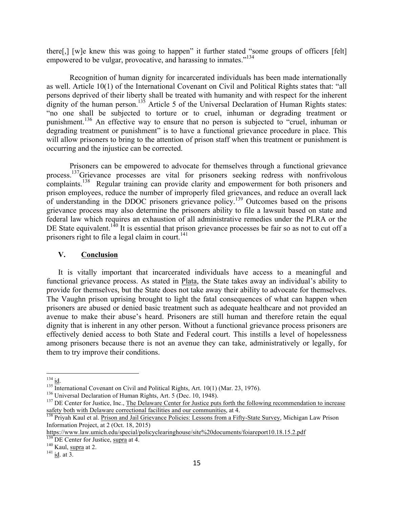there[,] [w]e knew this was going to happen" it further stated "some groups of officers [felt] empowered to be vulgar, provocative, and harassing to inmates."<sup>134</sup>

Recognition of human dignity for incarcerated individuals has been made internationally as well. Article 10(1) of the International Covenant on Civil and Political Rights states that: "all persons deprived of their liberty shall be treated with humanity and with respect for the inherent dignity of the human person.<sup>135</sup> Article 5 of the Universal Declaration of Human Rights states: "no one shall be subjected to torture or to cruel, inhuman or degrading treatment or punishment.<sup>136</sup> An effective way to ensure that no person is subjected to "cruel, inhuman or degrading treatment or punishment" is to have a functional grievance procedure in place. This will allow prisoners to bring to the attention of prison staff when this treatment or punishment is occurring and the injustice can be corrected.

Prisoners can be empowered to advocate for themselves through a functional grievance process.<sup>137</sup>Grievance processes are vital for prisoners seeking redress with nonfrivolous complaints.<sup>138</sup> Regular training can provide clarity and empowerment for both prisoners and prison employees, reduce the number of improperly filed grievances, and reduce an overall lack of understanding in the DDOC prisoners grievance policy.139 Outcomes based on the prisons grievance process may also determine the prisoners ability to file a lawsuit based on state and federal law which requires an exhaustion of all administrative remedies under the PLRA or the DE State equivalent.<sup>140</sup> It is essential that prison grievance processes be fair so as not to cut off a prisoners right to file a legal claim in court.<sup>141</sup>

#### **V. Conclusion**

It is vitally important that incarcerated individuals have access to a meaningful and functional grievance process. As stated in Plata, the State takes away an individual's ability to provide for themselves, but the State does not take away their ability to advocate for themselves. The Vaughn prison uprising brought to light the fatal consequences of what can happen when prisoners are abused or denied basic treatment such as adequate healthcare and not provided an avenue to make their abuse's heard. Prisoners are still human and therefore retain the equal dignity that is inherent in any other person. Without a functional grievance process prisoners are effectively denied access to both State and Federal court. This instills a level of hopelessness among prisoners because there is not an avenue they can take, administratively or legally, for them to try improve their conditions.

<sup>&</sup>lt;sup>134</sup> id.<br><sup>135</sup> International Covenant on Civil and Political Rights, Art. 10(1) (Mar. 23, 1976).<br><sup>136</sup> Universal Declaration of Human Rights, Art. 5 (Dec. 10, 1948).<br><sup>137</sup> DE Center for Justice, Inc., The Delaware Center safety both with Delaware correctional facilities and our communities, at 4.<br><sup>138</sup> Priyah Kaul et al. Prison and Jail Grievance Policies: Lessons from a Fifty-State Survey, Michigan Law Prison

Information Project, at 2 (Oct. 18, 2015)

https://www.law.umich.edu/special/policyclearinghouse/site%20documents/foiareport10.18.15.2.pdf<br>
<sup>139</sup> DE Center for Justice, supra at 4.<br>
<sup>140</sup> Kaul, supra at 2.<br>
<sup>141</sup> id. at 3.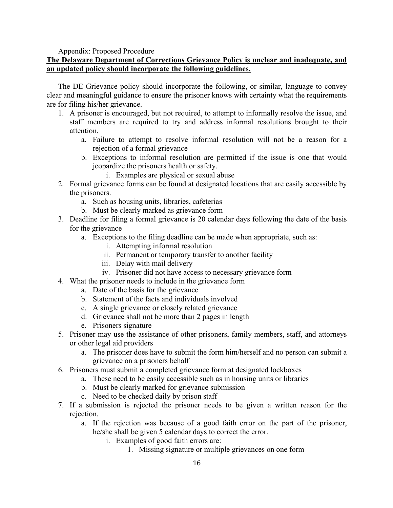Appendix: Proposed Procedure

# **The Delaware Department of Corrections Grievance Policy is unclear and inadequate, and an updated policy should incorporate the following guidelines.**

The DE Grievance policy should incorporate the following, or similar, language to convey clear and meaningful guidance to ensure the prisoner knows with certainty what the requirements are for filing his/her grievance.

- 1. A prisoner is encouraged, but not required, to attempt to informally resolve the issue, and staff members are required to try and address informal resolutions brought to their attention.
	- a. Failure to attempt to resolve informal resolution will not be a reason for a rejection of a formal grievance
	- b. Exceptions to informal resolution are permitted if the issue is one that would jeopardize the prisoners health or safety.
		- i. Examples are physical or sexual abuse
- 2. Formal grievance forms can be found at designated locations that are easily accessible by the prisoners.
	- a. Such as housing units, libraries, cafeterias
	- b. Must be clearly marked as grievance form
- 3. Deadline for filing a formal grievance is 20 calendar days following the date of the basis for the grievance
	- a. Exceptions to the filing deadline can be made when appropriate, such as:
		- i. Attempting informal resolution
		- ii. Permanent or temporary transfer to another facility
		- iii. Delay with mail delivery
		- iv. Prisoner did not have access to necessary grievance form
- 4. What the prisoner needs to include in the grievance form
	- a. Date of the basis for the grievance
	- b. Statement of the facts and individuals involved
	- c. A single grievance or closely related grievance
	- d. Grievance shall not be more than 2 pages in length
	- e. Prisoners signature
- 5. Prisoner may use the assistance of other prisoners, family members, staff, and attorneys or other legal aid providers
	- a. The prisoner does have to submit the form him/herself and no person can submit a grievance on a prisoners behalf
- 6. Prisoners must submit a completed grievance form at designated lockboxes
	- a. These need to be easily accessible such as in housing units or libraries
		- b. Must be clearly marked for grievance submission
		- c. Need to be checked daily by prison staff
- 7. If a submission is rejected the prisoner needs to be given a written reason for the rejection.
	- a. If the rejection was because of a good faith error on the part of the prisoner, he/she shall be given 5 calendar days to correct the error.
		- i. Examples of good faith errors are:
			- 1. Missing signature or multiple grievances on one form